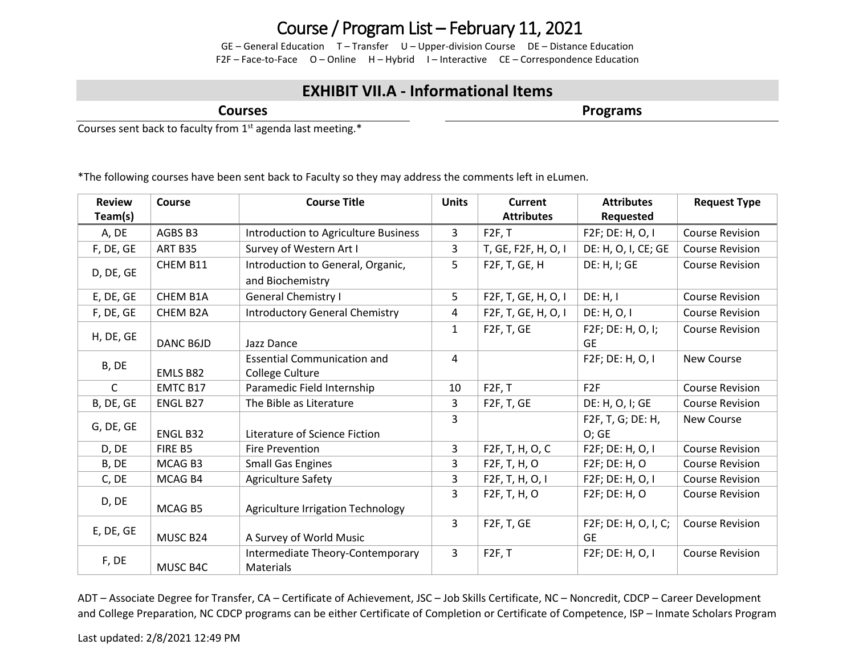## Course / Program List – February 11, 2021

GE – General Education T – Transfer U – Upper-division Course DE – Distance Education F2F – Face-to-Face O – Online H – Hybrid I – Interactive CE – Correspondence Education

## **EXHIBIT VII.A - Informational Items**

**Courses**

**Programs**

Courses sent back to faculty from 1<sup>st</sup> agenda last meeting.\*

\*The following courses have been sent back to Faculty so they may address the comments left in eLumen.

| <b>Review</b> | Course    | <b>Course Title</b>                   | <b>Units</b> | <b>Current</b>            | <b>Attributes</b>    | <b>Request Type</b>    |
|---------------|-----------|---------------------------------------|--------------|---------------------------|----------------------|------------------------|
| Team(s)       |           |                                       |              | <b>Attributes</b>         | Requested            |                        |
| A, DE         | AGBS B3   | Introduction to Agriculture Business  | 3            | F2F, T                    | F2F; DE: H, O, I     | <b>Course Revision</b> |
| F, DE, GE     | ART B35   | Survey of Western Art I               | 3            | T, GE, F2F, H, O, I       | DE: H, O, I, CE; GE  | <b>Course Revision</b> |
| D, DE, GE     | CHEM B11  | Introduction to General, Organic,     | 5            | F2F, T, GE, H             | DE: H, I; GE         | <b>Course Revision</b> |
|               |           | and Biochemistry                      |              |                           |                      |                        |
| E, DE, GE     | CHEM B1A  | <b>General Chemistry I</b>            | 5            | F2F, T, GE, H, O, I       | DE: H, I             | <b>Course Revision</b> |
| F, DE, GE     | CHEM B2A  | <b>Introductory General Chemistry</b> | 4            | F2F, T, GE, H, O, I       | DE: H, O, I          | <b>Course Revision</b> |
| H, DE, GE     |           |                                       | $\mathbf{1}$ | F <sub>2F</sub> , T, GE   | F2F; DE: H, O, I;    | <b>Course Revision</b> |
|               | DANC B6JD | Jazz Dance                            |              |                           | <b>GE</b>            |                        |
| B, DE         |           | <b>Essential Communication and</b>    | 4            |                           | F2F; DE: H, O, I     | <b>New Course</b>      |
|               | EMLS B82  | College Culture                       |              |                           |                      |                        |
| C             | EMTC B17  | Paramedic Field Internship            | 10           | F2F, T                    | F2F                  | <b>Course Revision</b> |
| B, DE, GE     | ENGL B27  | The Bible as Literature               | 3            | F <sub>2F</sub> , T, GE   | DE: H, O, I; GE      | <b>Course Revision</b> |
| G, DE, GE     |           |                                       | 3            |                           | F2F, T, G; DE: H,    | New Course             |
|               | ENGL B32  | Literature of Science Fiction         |              |                           | O; GE                |                        |
| D, DE         | FIRE B5   | <b>Fire Prevention</b>                | 3            | F2F, T, H, O, C           | F2F; DE: H, O, I     | <b>Course Revision</b> |
| B, DE         | MCAG B3   | <b>Small Gas Engines</b>              | 3            | F <sub>2</sub> F, T, H, O | F2F; DE: H, O        | <b>Course Revision</b> |
| C, DE         | MCAG B4   | <b>Agriculture Safety</b>             | 3            | F2F, T, H, O, I           | F2F; DE: H, O, I     | <b>Course Revision</b> |
| D, DE         |           |                                       | 3            | F <sub>2</sub> F, T, H, O | F2F; DE: H, O        | <b>Course Revision</b> |
|               | MCAG B5   | Agriculture Irrigation Technology     |              |                           |                      |                        |
| E, DE, GE     |           |                                       | 3            | F <sub>2F</sub> , T, GE   | F2F; DE: H, O, I, C; | <b>Course Revision</b> |
|               | MUSC B24  | A Survey of World Music               |              |                           | <b>GE</b>            |                        |
| F, DE         |           | Intermediate Theory-Contemporary      | 3            | F2F, T                    | F2F; DE: H, O, I     | <b>Course Revision</b> |
|               | MUSC B4C  | Materials                             |              |                           |                      |                        |

ADT – Associate Degree for Transfer, CA – Certificate of Achievement, JSC – Job Skills Certificate, NC – Noncredit, CDCP – Career Development and College Preparation, NC CDCP programs can be either Certificate of Completion or Certificate of Competence, ISP – Inmate Scholars Program